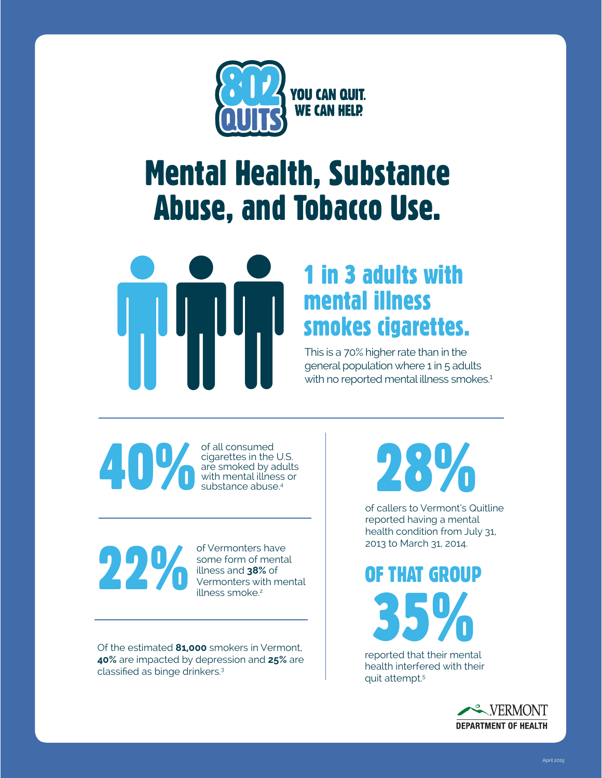

## Mental Health, Substance Abuse, and Tobacco Use.



## 1 in 3 adults with mental illness smokes cigarettes.

This is a 70% higher rate than in the general population where 1 in 5 adults with no reported mental illness smokes.<sup>1</sup>

of all consumed<br>cigarettes in the<br>are smoked by a<br>with mental illne<br>substance abuse cigarettes in the U.S. are smoked by adults with mental illness or substance abuse.<sup>4</sup>

of Vermonters have<br>some form of menta<br>illness and 38% of<br>Vermonters with me

some form of mental illness and **38%** of Vermonters with mental illness smoke.<sup>2</sup>

Of the estimated **81,000** smokers in Vermont, **40%** are impacted by depression and **25%** are classified as binge drinkers.<sup>3</sup>

28%

of callers to Vermont's Quitline reported having a mental health condition from July 31, 2013 to March 31, 2014.

35% OF THAT GROUP

reported that their mental health interfered with their quit attempt.5